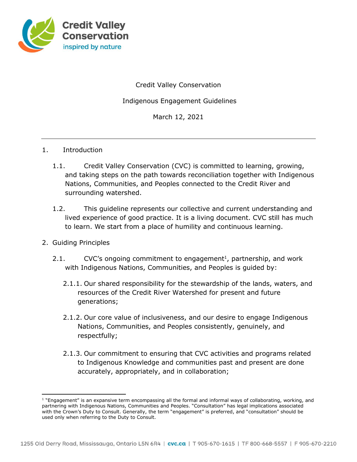

Credit Valley Conservation

Indigenous Engagement Guidelines

March 12, 2021

#### 1. Introduction

- 1.1. Credit Valley Conservation (CVC) is committed to learning, growing, and taking steps on the path towards reconciliation together with Indigenous Nations, Communities, and Peoples connected to the Credit River and surrounding watershed.
- 1.2. This guideline represents our collective and current understanding and lived experience of good practice. It is a living document. CVC still has much to learn. We start from a place of humility and continuous learning.

## 2. Guiding Principles

- 2.1.  $CVC's$  ongoing commitment to engagement<sup>1</sup>, partnership, and work with Indigenous Nations, Communities, and Peoples is guided by:
	- 2.1.1. Our shared responsibility for the stewardship of the lands, waters, and resources of the Credit River Watershed for present and future generations;
	- 2.1.2. Our core value of inclusiveness, and our desire to engage Indigenous Nations, Communities, and Peoples consistently, genuinely, and respectfully;
	- 2.1.3. Our commitment to ensuring that CVC activities and programs related to Indigenous Knowledge and communities past and present are done accurately, appropriately, and in collaboration;

<sup>1</sup> "Engagement" is an expansive term encompassing all the formal and informal ways of collaborating, working, and partnering with Indigenous Nations, Communities and Peoples. "Consultation" has legal implications associated with the Crown's Duty to Consult. Generally, the term "engagement" is preferred, and "consultation" should be used only when referring to the Duty to Consult.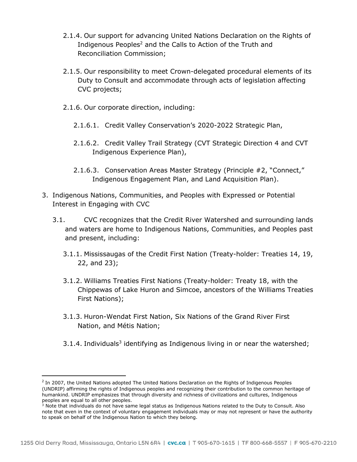- 2.1.4. Our support for advancing United Nations Declaration on the Rights of Indigenous Peoples<sup>2</sup> and the Calls to Action of the Truth and Reconciliation Commission;
- 2.1.5. Our responsibility to meet Crown-delegated procedural elements of its Duty to Consult and accommodate through acts of legislation affecting CVC projects;
- 2.1.6. Our corporate direction, including:
	- 2.1.6.1. Credit Valley Conservation's 2020-2022 Strategic Plan,
	- 2.1.6.2. Credit Valley Trail Strategy (CVT Strategic Direction 4 and CVT Indigenous Experience Plan),
	- 2.1.6.3. Conservation Areas Master Strategy (Principle #2, "Connect," Indigenous Engagement Plan, and Land Acquisition Plan).
- 3. Indigenous Nations, Communities, and Peoples with Expressed or Potential Interest in Engaging with CVC
	- 3.1. CVC recognizes that the Credit River Watershed and surrounding lands and waters are home to Indigenous Nations, Communities, and Peoples past and present, including:
		- 3.1.1. Mississaugas of the Credit First Nation (Treaty-holder: Treaties 14, 19, 22, and 23);
		- 3.1.2. Williams Treaties First Nations (Treaty-holder: Treaty 18, with the Chippewas of Lake Huron and Simcoe, ancestors of the Williams Treaties First Nations);
		- 3.1.3. Huron-Wendat First Nation, Six Nations of the Grand River First Nation, and Métis Nation;
		- 3.1.4. Individuals<sup>3</sup> identifying as Indigenous living in or near the watershed;

 $^2$  In 2007, the United Nations adopted The United Nations Declaration on the Rights of Indigenous Peoples (UNDRIP) affirming the rights of Indigenous peoples and recognizing their contribution to the common heritage of humankind. UNDRIP emphasizes that through diversity and richness of civilizations and cultures, Indigenous peoples are equal to all other peoples.

 $^3$  Note that individuals do not have same legal status as Indigenous Nations related to the Duty to Consult. Also note that even in the context of voluntary engagement individuals may or may not represent or have the authority to speak on behalf of the Indigenous Nation to which they belong.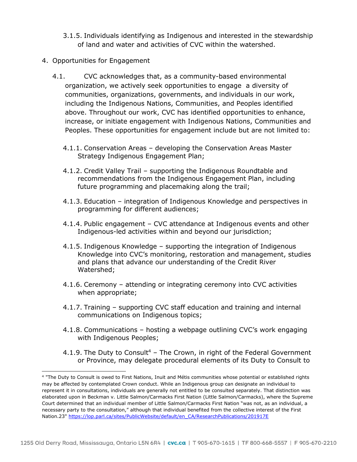- 3.1.5. Individuals identifying as Indigenous and interested in the stewardship of land and water and activities of CVC within the watershed.
- 4. Opportunities for Engagement
	- 4.1. CVC acknowledges that, as a community-based environmental organization, we actively seek opportunities to engage a diversity of communities, organizations, governments, and individuals in our work, including the Indigenous Nations, Communities, and Peoples identified above. Throughout our work, CVC has identified opportunities to enhance, increase, or initiate engagement with Indigenous Nations, Communities and Peoples. These opportunities for engagement include but are not limited to:
		- 4.1.1. Conservation Areas developing the Conservation Areas Master Strategy Indigenous Engagement Plan;
		- 4.1.2. Credit Valley Trail supporting the Indigenous Roundtable and recommendations from the Indigenous Engagement Plan, including future programming and placemaking along the trail;
		- 4.1.3. Education integration of Indigenous Knowledge and perspectives in programming for different audiences;
		- 4.1.4. Public engagement CVC attendance at Indigenous events and other Indigenous-led activities within and beyond our jurisdiction;
		- 4.1.5. Indigenous Knowledge supporting the integration of Indigenous Knowledge into CVC's monitoring, restoration and management, studies and plans that advance our understanding of the Credit River Watershed;
		- 4.1.6. Ceremony attending or integrating ceremony into CVC activities when appropriate;
		- 4.1.7. Training supporting CVC staff education and training and internal communications on Indigenous topics;
		- 4.1.8. Communications hosting a webpage outlining CVC's work engaging with Indigenous Peoples;
		- 4.1.9. The Duty to Consult<sup>4</sup> The Crown, in right of the Federal Government or Province, may delegate procedural elements of its Duty to Consult to

<sup>4</sup> "The Duty to Consult is owed to First Nations, Inuit and Métis communities whose potential or established rights may be affected by contemplated Crown conduct. While an Indigenous group can designate an individual to represent it in consultations, individuals are generally not entitled to be consulted separately. That distinction was elaborated upon in Beckman v. Little Salmon/Carmacks First Nation (Little Salmon/Carmacks), where the Supreme Court determined that an individual member of Little Salmon/Carmacks First Nation "was not, as an individual, a necessary party to the consultation," although that individual benefited from the collective interest of the First Nation.23" [https://lop.parl.ca/sites/PublicWebsite/default/en\\_CA/ResearchPublications/201917E](https://lop.parl.ca/sites/PublicWebsite/default/en_CA/ResearchPublications/201917E)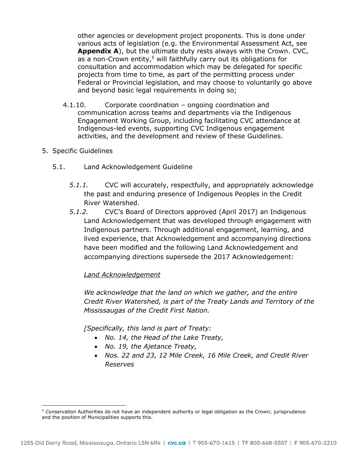other agencies or development project proponents. This is done under various acts of legislation (e.g. the Environmental Assessment Act, see **Appendix A**), but the ultimate duty rests always with the Crown. CVC, as a non-Crown entity,<sup>5</sup> will faithfully carry out its obligations for consultation and accommodation which may be delegated for specific projects from time to time, as part of the permitting process under Federal or Provincial legislation, and may choose to voluntarily go above and beyond basic legal requirements in doing so;

- 4.1.10. Corporate coordination ongoing coordination and communication across teams and departments via the Indigenous Engagement Working Group, including facilitating CVC attendance at Indigenous-led events, supporting CVC Indigenous engagement activities, and the development and review of these Guidelines.
- 5. Specific Guidelines
	- 5.1. Land Acknowledgement Guideline
		- *5.1.1.* CVC will accurately, respectfully, and appropriately acknowledge the past and enduring presence of Indigenous Peoples in the Credit River Watershed.
		- *5.1.2.* CVC's Board of Directors approved (April 2017) an Indigenous Land Acknowledgement that was developed through engagement with Indigenous partners. Through additional engagement, learning, and lived experience, that Acknowledgement and accompanying directions have been modified and the following Land Acknowledgement and accompanying directions supersede the 2017 Acknowledgement:

## *Land Acknowledgement*

*We acknowledge that the land on which we gather, and the entire Credit River Watershed, is part of the Treaty Lands and Territory of the Mississaugas of the Credit First Nation.* 

*[Specifically, this land is part of Treaty:* 

- *No. 14, the Head of the Lake Treaty,*
- *No. 19, the Ajetance Treaty,*
- *Nos. 22 and 23, 12 Mile Creek, 16 Mile Creek, and Credit River Reserves*

<sup>5</sup> Conservation Authorities do not have an independent authority or legal obligation as the Crown; jurisprudence and the position of Municipalities supports this.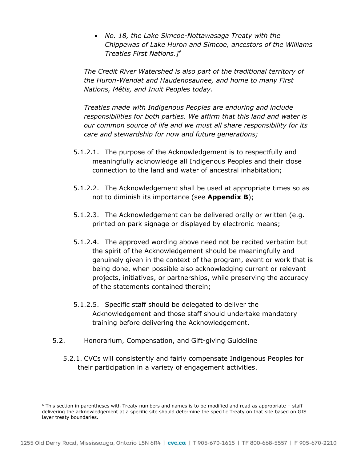• *No. 18, the Lake Simcoe-Nottawasaga Treaty with the Chippewas of Lake Huron and Simcoe, ancestors of the Williams Treaties First Nations.]<sup>6</sup>*

*The Credit River Watershed is also part of the traditional territory of the Huron-Wendat and Haudenosaunee, and home to many First Nations, Métis, and Inuit Peoples today.* 

*Treaties made with Indigenous Peoples are enduring and include responsibilities for both parties. We affirm that this land and water is our common source of life and we must all share responsibility for its care and stewardship for now and future generations;* 

- 5.1.2.1. The purpose of the Acknowledgement is to respectfully and meaningfully acknowledge all Indigenous Peoples and their close connection to the land and water of ancestral inhabitation;
- 5.1.2.2. The Acknowledgement shall be used at appropriate times so as not to diminish its importance (see **Appendix B**);
- 5.1.2.3. The Acknowledgement can be delivered orally or written (e.g. printed on park signage or displayed by electronic means;
- 5.1.2.4. The approved wording above need not be recited verbatim but the spirit of the Acknowledgement should be meaningfully and genuinely given in the context of the program, event or work that is being done, when possible also acknowledging current or relevant projects, initiatives, or partnerships, while preserving the accuracy of the statements contained therein;
- 5.1.2.5. Specific staff should be delegated to deliver the Acknowledgement and those staff should undertake mandatory training before delivering the Acknowledgement.
- 5.2. Honorarium, Compensation, and Gift-giving Guideline
	- 5.2.1. CVCs will consistently and fairly compensate Indigenous Peoples for their participation in a variety of engagement activities.

<sup>6</sup> This section in parentheses with Treaty numbers and names is to be modified and read as appropriate – staff delivering the acknowledgement at a specific site should determine the specific Treaty on that site based on GIS layer treaty boundaries.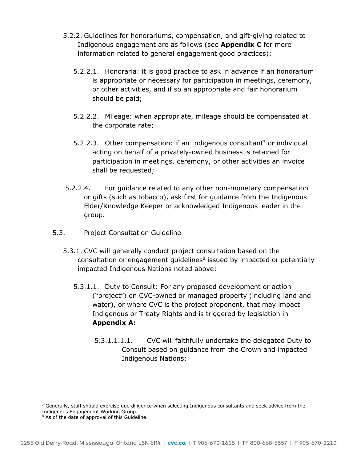- 5.2.2. Guidelines for honorariums, compensation, and gift-giving related to Indigenous engagement are as follows (see **Appendix C** for more information related to general engagement good practices):
	- 5.2.2.1. Honoraria: it is good practice to ask in advance if an honorarium is appropriate or necessary for participation in meetings, ceremony, or other activities, and if so an appropriate and fair honorarium should be paid;
	- 5.2.2.2. Mileage: when appropriate, mileage should be compensated at the corporate rate;
	- 5.2.2.3. Other compensation: if an Indigenous consultant<sup>7</sup> or individual acting on behalf of a privately-owned business is retained for participation in meetings, ceremony, or other activities an invoice shall be requested;
- 5.2.2.4. For guidance related to any other non-monetary compensation or gifts (such as tobacco), ask first for guidance from the Indigenous Elder/Knowledge Keeper or acknowledged Indigenous leader in the group.
- 5.3. Project Consultation Guideline
	- 5.3.1. CVC will generally conduct project consultation based on the  $\alpha$  consultation or engagement guidelines $^8$  issued by impacted or potentially impacted Indigenous Nations noted above:
		- 5.3.1.1. Duty to Consult: For any proposed development or action ("project") on CVC-owned or managed property (including land and water), or where CVC is the project proponent, that may impact Indigenous or Treaty Rights and is triggered by legislation in **Appendix A:**
			- 5.3.1.1.1.1. CVC will faithfully undertake the delegated Duty to Consult based on guidance from the Crown and impacted Indigenous Nations;

 $^7$  Generally, staff should exercise due diligence when selecting Indigenous consultants and seek advice from the Indigenous Engagement Working Group.

<sup>&</sup>lt;sup>8</sup> As of the date of approval of this Guideline.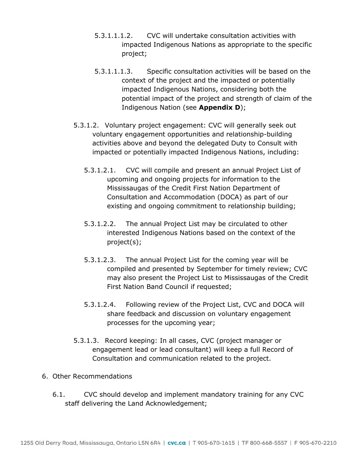- 5.3.1.1.1.2. CVC will undertake consultation activities with impacted Indigenous Nations as appropriate to the specific project;
- 5.3.1.1.1.3. Specific consultation activities will be based on the context of the project and the impacted or potentially impacted Indigenous Nations, considering both the potential impact of the project and strength of claim of the Indigenous Nation (see **Appendix D**);
- 5.3.1.2. Voluntary project engagement: CVC will generally seek out voluntary engagement opportunities and relationship-building activities above and beyond the delegated Duty to Consult with impacted or potentially impacted Indigenous Nations, including:
	- 5.3.1.2.1. CVC will compile and present an annual Project List of upcoming and ongoing projects for information to the Mississaugas of the Credit First Nation Department of Consultation and Accommodation (DOCA) as part of our existing and ongoing commitment to relationship building;
	- 5.3.1.2.2. The annual Project List may be circulated to other interested Indigenous Nations based on the context of the project(s);
	- 5.3.1.2.3. The annual Project List for the coming year will be compiled and presented by September for timely review; CVC may also present the Project List to Mississaugas of the Credit First Nation Band Council if requested;
	- 5.3.1.2.4. Following review of the Project List, CVC and DOCA will share feedback and discussion on voluntary engagement processes for the upcoming year;
- 5.3.1.3. Record keeping: In all cases, CVC (project manager or engagement lead or lead consultant) will keep a full Record of Consultation and communication related to the project.
- 6. Other Recommendations
	- 6.1. CVC should develop and implement mandatory training for any CVC staff delivering the Land Acknowledgement;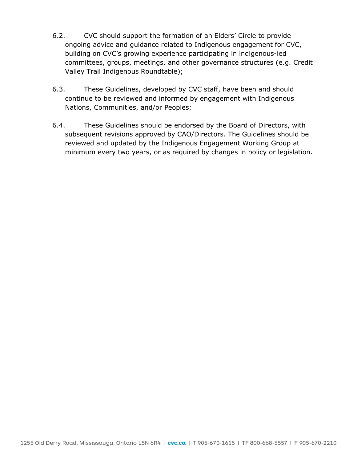- 6.2. CVC should support the formation of an Elders' Circle to provide ongoing advice and guidance related to Indigenous engagement for CVC, building on CVC's growing experience participating in indigenous-led committees, groups, meetings, and other governance structures (e.g. Credit Valley Trail Indigenous Roundtable);
- 6.3. These Guidelines, developed by CVC staff, have been and should continue to be reviewed and informed by engagement with Indigenous Nations, Communities, and/or Peoples;
- 6.4. These Guidelines should be endorsed by the Board of Directors, with subsequent revisions approved by CAO/Directors. The Guidelines should be reviewed and updated by the Indigenous Engagement Working Group at minimum every two years, or as required by changes in policy or legislation.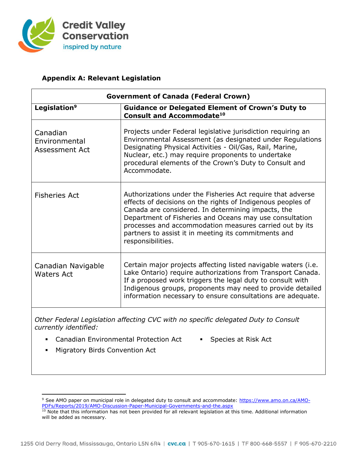

## **Appendix A: Relevant Legislation**

| <b>Government of Canada (Federal Crown)</b> |                                                                                                                                                                                                                                                                                                                                                                                     |  |  |  |  |
|---------------------------------------------|-------------------------------------------------------------------------------------------------------------------------------------------------------------------------------------------------------------------------------------------------------------------------------------------------------------------------------------------------------------------------------------|--|--|--|--|
| Legislation <sup>9</sup>                    | <b>Guidance or Delegated Element of Crown's Duty to</b><br><b>Consult and Accommodate<sup>10</sup></b>                                                                                                                                                                                                                                                                              |  |  |  |  |
| Canadian<br>Environmental<br>Assessment Act | Projects under Federal legislative jurisdiction requiring an<br>Environmental Assessment (as designated under Regulations<br>Designating Physical Activities - Oil/Gas, Rail, Marine,<br>Nuclear, etc.) may require proponents to undertake<br>procedural elements of the Crown's Duty to Consult and<br>Accommodate.                                                               |  |  |  |  |
| <b>Fisheries Act</b>                        | Authorizations under the Fisheries Act require that adverse<br>effects of decisions on the rights of Indigenous peoples of<br>Canada are considered. In determining impacts, the<br>Department of Fisheries and Oceans may use consultation<br>processes and accommodation measures carried out by its<br>partners to assist it in meeting its commitments and<br>responsibilities. |  |  |  |  |
| Canadian Navigable<br><b>Waters Act</b>     | Certain major projects affecting listed navigable waters (i.e.<br>Lake Ontario) require authorizations from Transport Canada.<br>If a proposed work triggers the legal duty to consult with<br>Indigenous groups, proponents may need to provide detailed<br>information necessary to ensure consultations are adequate.                                                            |  |  |  |  |

*Other Federal Legislation affecting CVC with no specific delegated Duty to Consult currently identified:* 

- Canadian Environmental Protection Act Species at Risk Act
	-
- Migratory Birds Convention Act

<sup>&</sup>lt;sup>9</sup> See AMO paper on municipal role in delegated duty to consult and accommodate: [https://www.amo.on.ca/AMO-](https://www.amo.on.ca/AMO-PDFs/Reports/2019/AMO-Discussion-Paper-Municipal-Governments-and-the.aspx)[PDFs/Reports/2019/AMO-Discussion-Paper-Municipal-Governments-and-the.aspx](https://www.amo.on.ca/AMO-PDFs/Reports/2019/AMO-Discussion-Paper-Municipal-Governments-and-the.aspx) 

<sup>&</sup>lt;sup>10</sup> Note that this information has not been provided for all relevant legislation at this time. Additional information will be added as necessary.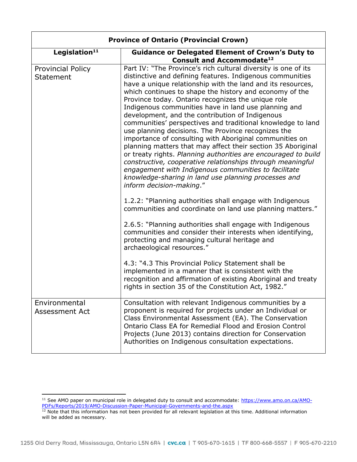| <b>Province of Ontario (Provincial Crown)</b> |                                                                                                                                                                                                                                                                                                                                                                                                                                                                                                                                                                                                                                                                                                                                                                                                                                                                                                                                                     |  |  |  |
|-----------------------------------------------|-----------------------------------------------------------------------------------------------------------------------------------------------------------------------------------------------------------------------------------------------------------------------------------------------------------------------------------------------------------------------------------------------------------------------------------------------------------------------------------------------------------------------------------------------------------------------------------------------------------------------------------------------------------------------------------------------------------------------------------------------------------------------------------------------------------------------------------------------------------------------------------------------------------------------------------------------------|--|--|--|
| Legislation <sup>11</sup>                     | <b>Guidance or Delegated Element of Crown's Duty to</b><br><b>Consult and Accommodate<sup>12</sup></b>                                                                                                                                                                                                                                                                                                                                                                                                                                                                                                                                                                                                                                                                                                                                                                                                                                              |  |  |  |
| <b>Provincial Policy</b><br>Statement         | Part IV: "The Province's rich cultural diversity is one of its<br>distinctive and defining features. Indigenous communities<br>have a unique relationship with the land and its resources,<br>which continues to shape the history and economy of the<br>Province today. Ontario recognizes the unique role<br>Indigenous communities have in land use planning and<br>development, and the contribution of Indigenous<br>communities' perspectives and traditional knowledge to land<br>use planning decisions. The Province recognizes the<br>importance of consulting with Aboriginal communities on<br>planning matters that may affect their section 35 Aboriginal<br>or treaty rights. Planning authorities are encouraged to build<br>constructive, cooperative relationships through meaningful<br>engagement with Indigenous communities to facilitate<br>knowledge-sharing in land use planning processes and<br>inform decision-making." |  |  |  |
|                                               | 1.2.2: "Planning authorities shall engage with Indigenous<br>communities and coordinate on land use planning matters."<br>2.6.5: "Planning authorities shall engage with Indigenous<br>communities and consider their interests when identifying,<br>protecting and managing cultural heritage and<br>archaeological resources."<br>4.3: "4.3 This Provincial Policy Statement shall be<br>implemented in a manner that is consistent with the<br>recognition and affirmation of existing Aboriginal and treaty<br>rights in section 35 of the Constitution Act, 1982."                                                                                                                                                                                                                                                                                                                                                                             |  |  |  |
| Environmental<br>Assessment Act               | Consultation with relevant Indigenous communities by a<br>proponent is required for projects under an Individual or<br>Class Environmental Assessment (EA). The Conservation<br>Ontario Class EA for Remedial Flood and Erosion Control<br>Projects (June 2013) contains direction for Conservation<br>Authorities on Indigenous consultation expectations.                                                                                                                                                                                                                                                                                                                                                                                                                                                                                                                                                                                         |  |  |  |

<sup>&</sup>lt;sup>11</sup> See AMO paper on municipal role in delegated duty to consult and accommodate: [https://www.amo.on.ca/AMO-](https://www.amo.on.ca/AMO-PDFs/Reports/2019/AMO-Discussion-Paper-Municipal-Governments-and-the.aspx)[PDFs/Reports/2019/AMO-Discussion-Paper-Municipal-Governments-and-the.aspx](https://www.amo.on.ca/AMO-PDFs/Reports/2019/AMO-Discussion-Paper-Municipal-Governments-and-the.aspx) 

 $12$  Note that this information has not been provided for all relevant legislation at this time. Additional information will be added as necessary.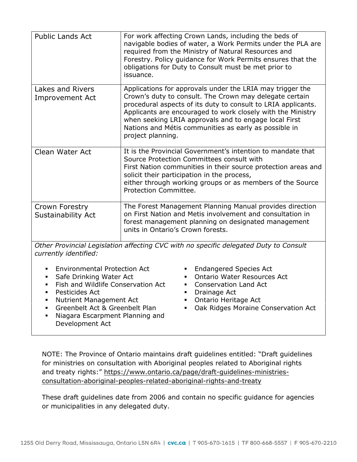| <b>Public Lands Act</b>                                                               | For work affecting Crown Lands, including the beds of<br>navigable bodies of water, a Work Permits under the PLA are<br>required from the Ministry of Natural Resources and<br>Forestry. Policy guidance for Work Permits ensures that the<br>obligations for Duty to Consult must be met prior to<br>issuance.                                                                             |  |  |  |
|---------------------------------------------------------------------------------------|---------------------------------------------------------------------------------------------------------------------------------------------------------------------------------------------------------------------------------------------------------------------------------------------------------------------------------------------------------------------------------------------|--|--|--|
| Lakes and Rivers<br><b>Improvement Act</b>                                            | Applications for approvals under the LRIA may trigger the<br>Crown's duty to consult. The Crown may delegate certain<br>procedural aspects of its duty to consult to LRIA applicants.<br>Applicants are encouraged to work closely with the Ministry<br>when seeking LRIA approvals and to engage local First<br>Nations and Métis communities as early as possible in<br>project planning. |  |  |  |
| <b>Clean Water Act</b>                                                                | It is the Provincial Government's intention to mandate that<br>Source Protection Committees consult with<br>First Nation communities in their source protection areas and<br>solicit their participation in the process,<br>either through working groups or as members of the Source<br>Protection Committee.                                                                              |  |  |  |
| Crown Forestry<br>Sustainability Act                                                  | The Forest Management Planning Manual provides direction<br>on First Nation and Metis involvement and consultation in<br>forest management planning on designated management<br>units in Ontario's Crown forests.                                                                                                                                                                           |  |  |  |
| Other Provincial Legislation affecting CVC with no specific delegated Duty to Consult |                                                                                                                                                                                                                                                                                                                                                                                             |  |  |  |

*Other Provincial Legislation affecting CVC with no specific delegated Duty to Consult currently identified:* 

- Environmental Protection Act Endangered Species Act
- 
- Fish and Wildlife Conservation Act Conservation Land Act
- Pesticides Act Drainage Act
- Nutrient Management Act Ontario Heritage Act
- 
- Niagara Escarpment Planning and Development Act
- 
- Safe Drinking Water Act Ontario Water Resources Act
	-
	-
	-
- Greenbelt Act & Greenbelt Plan Oak Ridges Moraine Conservation Act

NOTE: The Province of Ontario maintains draft guidelines entitled: "Draft guidelines for ministries on consultation with Aboriginal peoples related to Aboriginal rights and treaty rights:" [https://www.ontario.ca/page/draft-guidelines-ministries](https://www.ontario.ca/page/draft-guidelines-ministries-consultation-aboriginal-peoples-related-aboriginal-rights-and-treaty)[consultation-aboriginal-peoples-related-aboriginal-rights-and-treaty](https://www.ontario.ca/page/draft-guidelines-ministries-consultation-aboriginal-peoples-related-aboriginal-rights-and-treaty) 

These draft guidelines date from 2006 and contain no specific guidance for agencies or municipalities in any delegated duty.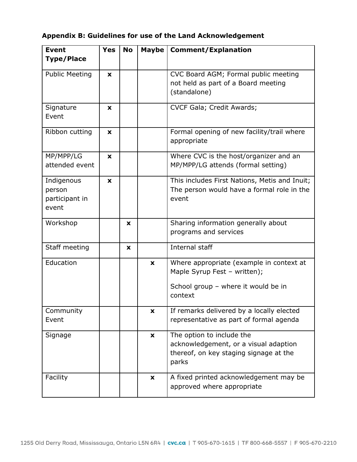# **Appendix B: Guidelines for use of the Land Acknowledgement**

| <b>Event</b>                                    | <b>Yes</b> | <b>No</b> | <b>Maybe</b>       | <b>Comment/Explanation</b>                                                                                                 |  |
|-------------------------------------------------|------------|-----------|--------------------|----------------------------------------------------------------------------------------------------------------------------|--|
| <b>Type/Place</b>                               |            |           |                    |                                                                                                                            |  |
| <b>Public Meeting</b>                           | X          |           |                    | CVC Board AGM; Formal public meeting<br>not held as part of a Board meeting<br>(standalone)                                |  |
| Signature<br>Event                              | X          |           |                    | CVCF Gala; Credit Awards;                                                                                                  |  |
| Ribbon cutting                                  | X          |           |                    | Formal opening of new facility/trail where<br>appropriate                                                                  |  |
| MP/MPP/LG<br>attended event                     | X          |           |                    | Where CVC is the host/organizer and an<br>MP/MPP/LG attends (formal setting)                                               |  |
| Indigenous<br>person<br>participant in<br>event | X          |           |                    | This includes First Nations, Metis and Inuit;<br>The person would have a formal role in the<br>event                       |  |
| Workshop                                        |            | <b>X</b>  |                    | Sharing information generally about<br>programs and services                                                               |  |
| Staff meeting                                   |            | X         |                    | Internal staff                                                                                                             |  |
| Education                                       |            |           | X                  | Where appropriate (example in context at<br>Maple Syrup Fest - written);<br>School group - where it would be in<br>context |  |
| Community<br>Event                              |            |           | X                  | If remarks delivered by a locally elected<br>representative as part of formal agenda                                       |  |
| Signage                                         |            |           | $\pmb{\mathsf{x}}$ | The option to include the<br>acknowledgement, or a visual adaption<br>thereof, on key staging signage at the<br>parks      |  |
| Facility                                        |            |           | X                  | A fixed printed acknowledgement may be<br>approved where appropriate                                                       |  |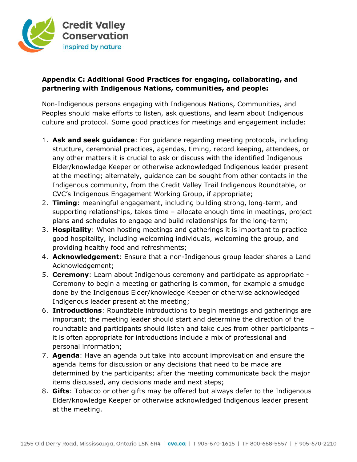

## **Appendix C: Additional Good Practices for engaging, collaborating, and partnering with Indigenous Nations, communities, and people:**

Non-Indigenous persons engaging with Indigenous Nations, Communities, and Peoples should make efforts to listen, ask questions, and learn about Indigenous culture and protocol. Some good practices for meetings and engagement include:

- 1. **Ask and seek guidance**: For guidance regarding meeting protocols, including structure, ceremonial practices, agendas, timing, record keeping, attendees, or any other matters it is crucial to ask or discuss with the identified Indigenous Elder/knowledge Keeper or otherwise acknowledged Indigenous leader present at the meeting; alternately, guidance can be sought from other contacts in the Indigenous community, from the Credit Valley Trail Indigenous Roundtable, or CVC's Indigenous Engagement Working Group, if appropriate;
- 2. **Timing**: meaningful engagement, including building strong, long-term, and supporting relationships, takes time – allocate enough time in meetings, project plans and schedules to engage and build relationships for the long-term;
- 3. **Hospitality**: When hosting meetings and gatherings it is important to practice good hospitality, including welcoming individuals, welcoming the group, and providing healthy food and refreshments;
- 4. **Acknowledgement**: Ensure that a non-Indigenous group leader shares a Land Acknowledgement;
- 5. **Ceremony**: Learn about Indigenous ceremony and participate as appropriate Ceremony to begin a meeting or gathering is common, for example a smudge done by the Indigenous Elder/knowledge Keeper or otherwise acknowledged Indigenous leader present at the meeting;
- 6. **Introductions**: Roundtable introductions to begin meetings and gatherings are important; the meeting leader should start and determine the direction of the roundtable and participants should listen and take cues from other participants – it is often appropriate for introductions include a mix of professional and personal information;
- 7. **Agenda**: Have an agenda but take into account improvisation and ensure the agenda items for discussion or any decisions that need to be made are determined by the participants; after the meeting communicate back the major items discussed, any decisions made and next steps;
- 8. **Gifts**: Tobacco or other gifts may be offered but always defer to the Indigenous Elder/knowledge Keeper or otherwise acknowledged Indigenous leader present at the meeting.